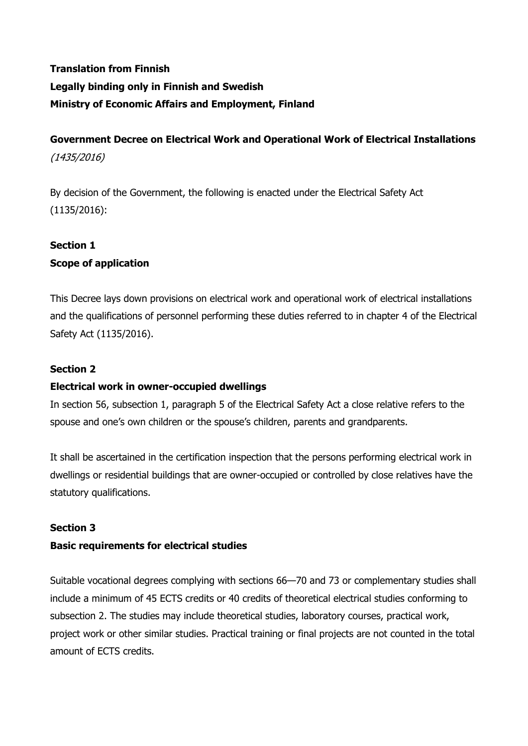# **Translation from Finnish Legally binding only in Finnish and Swedish Ministry of Economic Affairs and Employment, Finland**

**Government Decree on Electrical Work and Operational Work of Electrical Installations** (1435/2016)

By decision of the Government, the following is enacted under the Electrical Safety Act (1135/2016):

## **Section 1**

## **Scope of application**

This Decree lays down provisions on electrical work and operational work of electrical installations and the qualifications of personnel performing these duties referred to in chapter 4 of the Electrical Safety Act (1135/2016).

#### **Section 2**

#### **Electrical work in owner-occupied dwellings**

In section 56, subsection 1, paragraph 5 of the Electrical Safety Act a close relative refers to the spouse and one's own children or the spouse's children, parents and grandparents.

It shall be ascertained in the certification inspection that the persons performing electrical work in dwellings or residential buildings that are owner-occupied or controlled by close relatives have the statutory qualifications.

#### **Section 3**

## **Basic requirements for electrical studies**

Suitable vocational degrees complying with sections 66—70 and 73 or complementary studies shall include a minimum of 45 ECTS credits or 40 credits of theoretical electrical studies conforming to subsection 2. The studies may include theoretical studies, laboratory courses, practical work, project work or other similar studies. Practical training or final projects are not counted in the total amount of ECTS credits.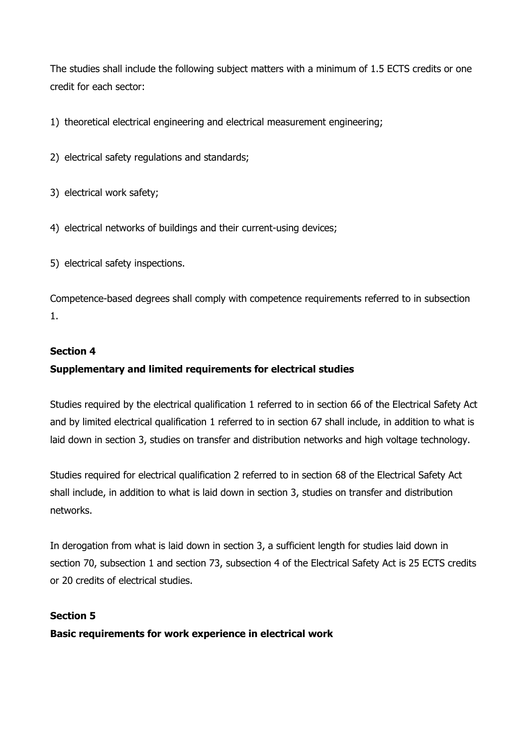The studies shall include the following subject matters with a minimum of 1.5 ECTS credits or one credit for each sector:

1) theoretical electrical engineering and electrical measurement engineering;

- 2) electrical safety regulations and standards;
- 3) electrical work safety;
- 4) electrical networks of buildings and their current-using devices;
- 5) electrical safety inspections.

Competence-based degrees shall comply with competence requirements referred to in subsection 1.

#### **Section 4**

## **Supplementary and limited requirements for electrical studies**

Studies required by the electrical qualification 1 referred to in section 66 of the Electrical Safety Act and by limited electrical qualification 1 referred to in section 67 shall include, in addition to what is laid down in section 3, studies on transfer and distribution networks and high voltage technology.

Studies required for electrical qualification 2 referred to in section 68 of the Electrical Safety Act shall include, in addition to what is laid down in section 3, studies on transfer and distribution networks.

In derogation from what is laid down in section 3, a sufficient length for studies laid down in section 70, subsection 1 and section 73, subsection 4 of the Electrical Safety Act is 25 ECTS credits or 20 credits of electrical studies.

#### **Section 5**

**Basic requirements for work experience in electrical work**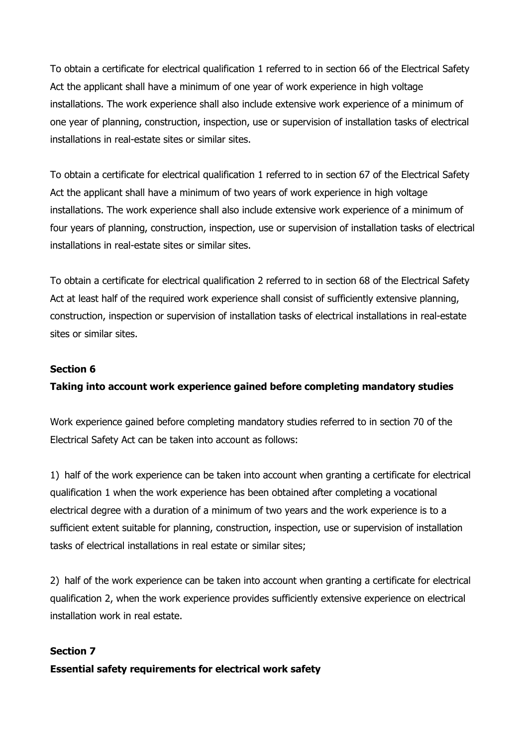To obtain a certificate for electrical qualification 1 referred to in section 66 of the Electrical Safety Act the applicant shall have a minimum of one year of work experience in high voltage installations. The work experience shall also include extensive work experience of a minimum of one year of planning, construction, inspection, use or supervision of installation tasks of electrical installations in real-estate sites or similar sites.

To obtain a certificate for electrical qualification 1 referred to in section 67 of the Electrical Safety Act the applicant shall have a minimum of two years of work experience in high voltage installations. The work experience shall also include extensive work experience of a minimum of four years of planning, construction, inspection, use or supervision of installation tasks of electrical installations in real-estate sites or similar sites.

To obtain a certificate for electrical qualification 2 referred to in section 68 of the Electrical Safety Act at least half of the required work experience shall consist of sufficiently extensive planning, construction, inspection or supervision of installation tasks of electrical installations in real-estate sites or similar sites.

#### **Section 6**

#### **Taking into account work experience gained before completing mandatory studies**

Work experience gained before completing mandatory studies referred to in section 70 of the Electrical Safety Act can be taken into account as follows:

1) half of the work experience can be taken into account when granting a certificate for electrical qualification 1 when the work experience has been obtained after completing a vocational electrical degree with a duration of a minimum of two years and the work experience is to a sufficient extent suitable for planning, construction, inspection, use or supervision of installation tasks of electrical installations in real estate or similar sites;

2) half of the work experience can be taken into account when granting a certificate for electrical qualification 2, when the work experience provides sufficiently extensive experience on electrical installation work in real estate.

#### **Section 7**

#### **Essential safety requirements for electrical work safety**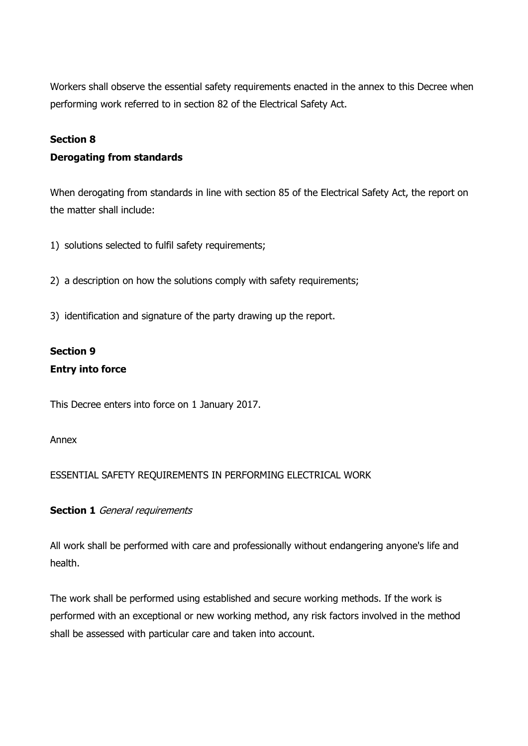Workers shall observe the essential safety requirements enacted in the annex to this Decree when performing work referred to in section 82 of the Electrical Safety Act.

#### **Section 8**

#### **Derogating from standards**

When derogating from standards in line with section 85 of the Electrical Safety Act, the report on the matter shall include:

- 1) solutions selected to fulfil safety requirements;
- 2) a description on how the solutions comply with safety requirements;
- 3) identification and signature of the party drawing up the report.

## **Section 9 Entry into force**

This Decree enters into force on 1 January 2017.

Annex

#### ESSENTIAL SAFETY REQUIREMENTS IN PERFORMING ELECTRICAL WORK

**Section 1** General requirements

All work shall be performed with care and professionally without endangering anyone's life and health.

The work shall be performed using established and secure working methods. If the work is performed with an exceptional or new working method, any risk factors involved in the method shall be assessed with particular care and taken into account.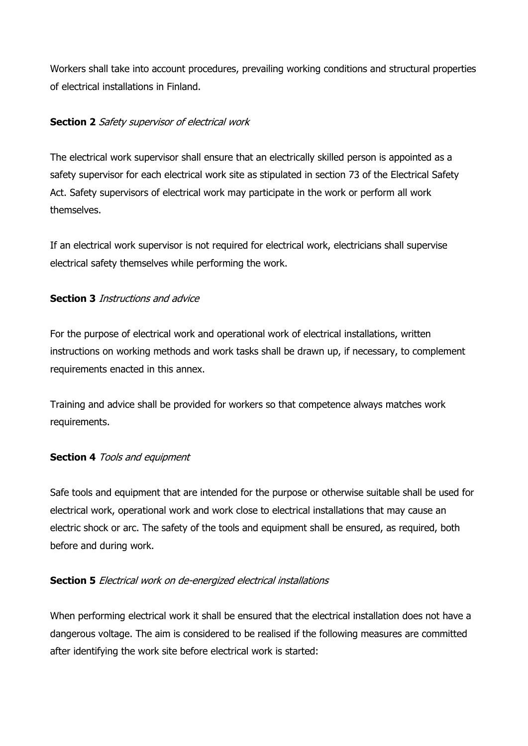Workers shall take into account procedures, prevailing working conditions and structural properties of electrical installations in Finland.

## **Section 2** Safety supervisor of electrical work

The electrical work supervisor shall ensure that an electrically skilled person is appointed as a safety supervisor for each electrical work site as stipulated in section 73 of the Electrical Safety Act. Safety supervisors of electrical work may participate in the work or perform all work themselves.

If an electrical work supervisor is not required for electrical work, electricians shall supervise electrical safety themselves while performing the work.

## **Section 3** Instructions and advice

For the purpose of electrical work and operational work of electrical installations, written instructions on working methods and work tasks shall be drawn up, if necessary, to complement requirements enacted in this annex.

Training and advice shall be provided for workers so that competence always matches work requirements.

#### **Section 4** Tools and equipment

Safe tools and equipment that are intended for the purpose or otherwise suitable shall be used for electrical work, operational work and work close to electrical installations that may cause an electric shock or arc. The safety of the tools and equipment shall be ensured, as required, both before and during work.

## **Section 5** Electrical work on de-energized electrical installations

When performing electrical work it shall be ensured that the electrical installation does not have a dangerous voltage. The aim is considered to be realised if the following measures are committed after identifying the work site before electrical work is started: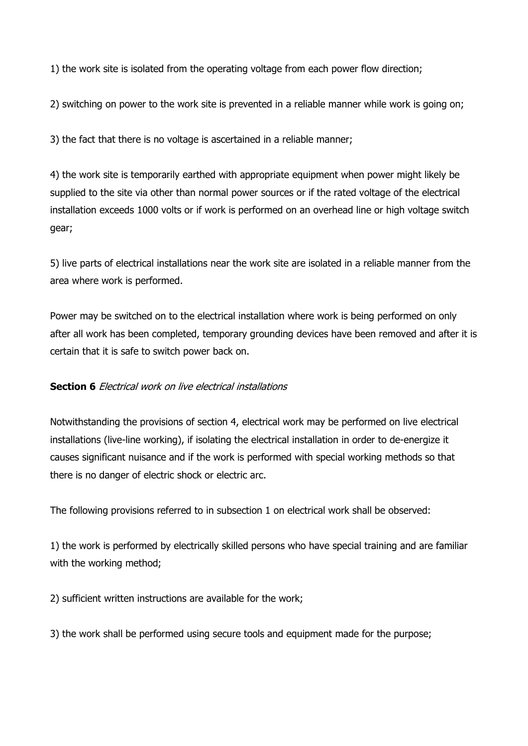1) the work site is isolated from the operating voltage from each power flow direction;

2) switching on power to the work site is prevented in a reliable manner while work is going on;

3) the fact that there is no voltage is ascertained in a reliable manner;

4) the work site is temporarily earthed with appropriate equipment when power might likely be supplied to the site via other than normal power sources or if the rated voltage of the electrical installation exceeds 1000 volts or if work is performed on an overhead line or high voltage switch gear;

5) live parts of electrical installations near the work site are isolated in a reliable manner from the area where work is performed.

Power may be switched on to the electrical installation where work is being performed on only after all work has been completed, temporary grounding devices have been removed and after it is certain that it is safe to switch power back on.

#### **Section 6** Electrical work on live electrical installations

Notwithstanding the provisions of section 4, electrical work may be performed on live electrical installations (live-line working), if isolating the electrical installation in order to de-energize it causes significant nuisance and if the work is performed with special working methods so that there is no danger of electric shock or electric arc.

The following provisions referred to in subsection 1 on electrical work shall be observed:

1) the work is performed by electrically skilled persons who have special training and are familiar with the working method;

2) sufficient written instructions are available for the work;

3) the work shall be performed using secure tools and equipment made for the purpose;